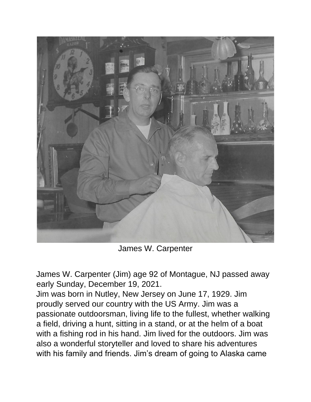

James W. Carpenter

James W. Carpenter (Jim) age 92 of Montague, NJ passed away early Sunday, December 19, 2021.

Jim was born in Nutley, New Jersey on June 17, 1929. Jim proudly served our country with the US Army. Jim was a passionate outdoorsman, living life to the fullest, whether walking a field, driving a hunt, sitting in a stand, or at the helm of a boat with a fishing rod in his hand. Jim lived for the outdoors. Jim was also a wonderful storyteller and loved to share his adventures with his family and friends. Jim's dream of going to Alaska came